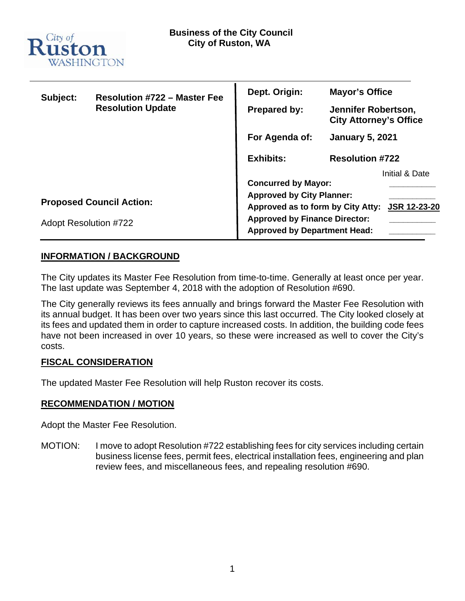

| Subject:                        | <b>Resolution #722 - Master Fee</b> | Dept. Origin:                                                               | <b>Mayor's Office</b>                                |                |
|---------------------------------|-------------------------------------|-----------------------------------------------------------------------------|------------------------------------------------------|----------------|
|                                 | <b>Resolution Update</b>            | <b>Prepared by:</b>                                                         | Jennifer Robertson,<br><b>City Attorney's Office</b> |                |
|                                 |                                     | For Agenda of:                                                              | <b>January 5, 2021</b>                               |                |
|                                 |                                     | <b>Exhibits:</b>                                                            | <b>Resolution #722</b>                               |                |
|                                 |                                     |                                                                             |                                                      | Initial & Date |
|                                 |                                     | <b>Concurred by Mayor:</b>                                                  |                                                      |                |
| <b>Proposed Council Action:</b> |                                     | <b>Approved by City Planner:</b>                                            |                                                      |                |
|                                 |                                     | Approved as to form by City Atty:<br><b>JSR 12-23-20</b>                    |                                                      |                |
| <b>Adopt Resolution #722</b>    |                                     | <b>Approved by Finance Director:</b><br><b>Approved by Department Head:</b> |                                                      |                |

# **INFORMATION / BACKGROUND**

The City updates its Master Fee Resolution from time-to-time. Generally at least once per year. The last update was September 4, 2018 with the adoption of Resolution #690.

The City generally reviews its fees annually and brings forward the Master Fee Resolution with its annual budget. It has been over two years since this last occurred. The City looked closely at its fees and updated them in order to capture increased costs. In addition, the building code fees have not been increased in over 10 years, so these were increased as well to cover the City's costs.

### **FISCAL CONSIDERATION**

The updated Master Fee Resolution will help Ruston recover its costs.

### **RECOMMENDATION / MOTION**

Adopt the Master Fee Resolution.

MOTION: I move to adopt Resolution #722 establishing fees for city services including certain business license fees, permit fees, electrical installation fees, engineering and plan review fees, and miscellaneous fees, and repealing resolution #690.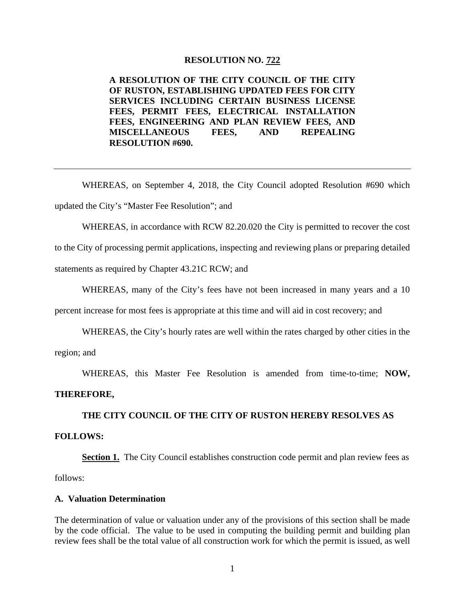#### **RESOLUTION NO. 722**

**A RESOLUTION OF THE CITY COUNCIL OF THE CITY OF RUSTON, ESTABLISHING UPDATED FEES FOR CITY SERVICES INCLUDING CERTAIN BUSINESS LICENSE FEES, PERMIT FEES, ELECTRICAL INSTALLATION FEES, ENGINEERING AND PLAN REVIEW FEES, AND MISCELLANEOUS FEES, AND REPEALING RESOLUTION #690.** 

WHEREAS, on September 4, 2018, the City Council adopted Resolution #690 which updated the City's "Master Fee Resolution"; and

WHEREAS, in accordance with RCW 82.20.020 the City is permitted to recover the cost

to the City of processing permit applications, inspecting and reviewing plans or preparing detailed

statements as required by Chapter 43.21C RCW; and

WHEREAS, many of the City's fees have not been increased in many years and a 10

percent increase for most fees is appropriate at this time and will aid in cost recovery; and

WHEREAS, the City's hourly rates are well within the rates charged by other cities in the

region; and

WHEREAS, this Master Fee Resolution is amended from time-to-time; **NOW,** 

#### **THEREFORE,**

**THE CITY COUNCIL OF THE CITY OF RUSTON HEREBY RESOLVES AS**

### **FOLLOWS:**

**Section 1.** The City Council establishes construction code permit and plan review fees as follows:

#### **A. Valuation Determination**

The determination of value or valuation under any of the provisions of this section shall be made by the code official. The value to be used in computing the building permit and building plan review fees shall be the total value of all construction work for which the permit is issued, as well

1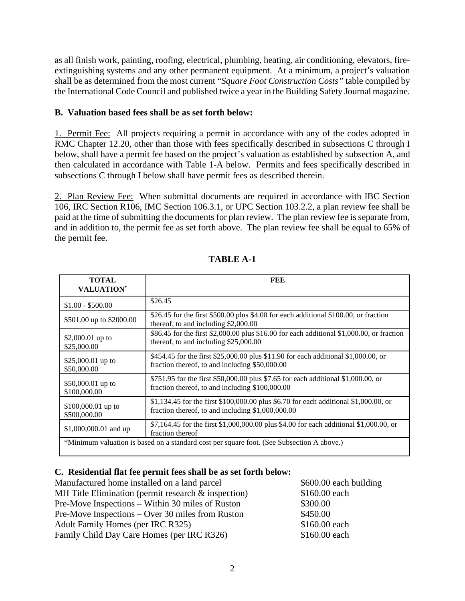as all finish work, painting, roofing, electrical, plumbing, heating, air conditioning, elevators, fireextinguishing systems and any other permanent equipment. At a minimum, a project's valuation shall be as determined from the most current "*Square Foot Construction Costs"* table compiled by the International Code Council and published twice a year in the Building Safety Journal magazine.

### **B. Valuation based fees shall be as set forth below:**

1. Permit Fee: All projects requiring a permit in accordance with any of the codes adopted in RMC Chapter 12.20, other than those with fees specifically described in subsections C through I below, shall have a permit fee based on the project's valuation as established by subsection A, and then calculated in accordance with Table 1-A below. Permits and fees specifically described in subsections C through I below shall have permit fees as described therein.

2. Plan Review Fee: When submittal documents are required in accordance with IBC Section 106, IRC Section R106, IMC Section 106.3.1, or UPC Section 103.2.2, a plan review fee shall be paid at the time of submitting the documents for plan review. The plan review fee is separate from, and in addition to, the permit fee as set forth above. The plan review fee shall be equal to 65% of the permit fee.

| <b>TOTAL</b><br><b>VALUATION*</b>  | FEE                                                                                                                                        |
|------------------------------------|--------------------------------------------------------------------------------------------------------------------------------------------|
| $$1.00 - $500.00$                  | \$26.45                                                                                                                                    |
| \$501.00 up to \$2000.00           | \$26.45 for the first \$500.00 plus \$4.00 for each additional \$100.00, or fraction<br>thereof, to and including \$2,000.00               |
| \$2,000.01 up to<br>\$25,000.00    | \$86.45 for the first \$2,000.00 plus \$16.00 for each additional \$1,000.00, or fraction<br>thereof, to and including \$25,000.00         |
| \$25,000.01 up to<br>\$50,000.00   | \$454.45 for the first \$25,000.00 plus \$11.90 for each additional \$1,000.00, or<br>fraction thereof, to and including \$50,000.00       |
| \$50,000.01 up to<br>\$100,000.00  | \$751.95 for the first \$50,000.00 plus \$7.65 for each additional \$1,000.00, or<br>fraction thereof, to and including \$100,000.00       |
| \$100,000.01 up to<br>\$500,000.00 | \$1,134.45 for the first \$100,000.00 plus \$6.70 for each additional \$1,000.00, or<br>fraction thereof, to and including $$1,000,000.00$ |
| \$1,000,000.01 and up              | \$7,164.45 for the first \$1,000,000.00 plus \$4.00 for each additional \$1,000.00, or<br>fraction thereof                                 |
|                                    | *Minimum valuation is based on a standard cost per square foot. (See Subsection A above.)                                                  |

# **TABLE A-1**

#### **C. Residential flat fee permit fees shall be as set forth below:**

Manufactured home installed on a land parcel \$600.00 each building MH Title Elimination (permit research & inspection) \$160.00 each Pre-Move Inspections – Within 30 miles of Ruston \$300.00 Pre-Move Inspections – Over 30 miles from Ruston \$450.00 Adult Family Homes (per IRC R325) \$160.00 each Family Child Day Care Homes (per IRC R326) \$160.00 each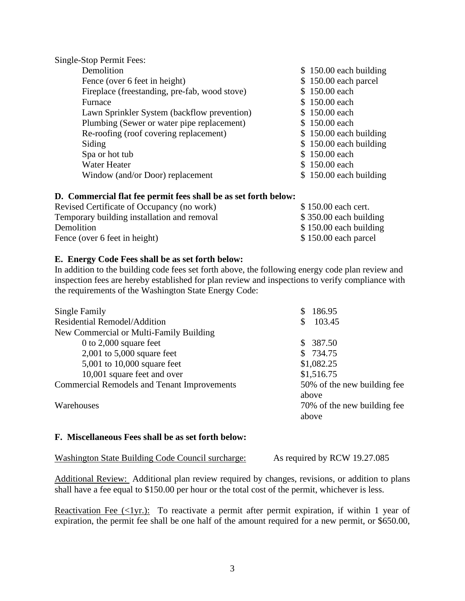| $$150.00$ each building |
|-------------------------|
| \$150.00 each parcel    |
| \$150.00 each           |
| \$150.00 each           |
| \$150.00 each           |
| \$150.00 each           |
| $$150.00$ each building |
| $$150.00$ each building |
| \$150.00 each           |
| \$150.00 each           |
| $$150.00$ each building |
|                         |

#### **D. Commercial flat fee permit fees shall be as set forth below:**

| Revised Certificate of Occupancy (no work)  | \$150.00 each cert.     |
|---------------------------------------------|-------------------------|
| Temporary building installation and removal | $$350.00$ each building |
| Demolition                                  | $$150.00$ each building |
| Fence (over 6 feet in height)               | $$150.00$ each parcel   |

#### **E. Energy Code Fees shall be as set forth below:**

In addition to the building code fees set forth above, the following energy code plan review and inspection fees are hereby established for plan review and inspections to verify compliance with the requirements of the Washington State Energy Code:

| Single Family                                      | 186.95                      |
|----------------------------------------------------|-----------------------------|
| Residential Remodel/Addition                       | 103.45                      |
| New Commercial or Multi-Family Building            |                             |
| 0 to $2,000$ square feet                           | \$387.50                    |
| $2,001$ to $5,000$ square feet                     | \$734.75                    |
| $5,001$ to 10,000 square feet                      | \$1,082.25                  |
| 10,001 square feet and over                        | \$1,516.75                  |
| <b>Commercial Remodels and Tenant Improvements</b> | 50% of the new building fee |
|                                                    | above                       |
| Warehouses                                         | 70% of the new building fee |
|                                                    | above                       |

#### **F. Miscellaneous Fees shall be as set forth below:**

| Washington State Building Code Council surcharge: | As required by RCW 19.27.085 |
|---------------------------------------------------|------------------------------|
|                                                   |                              |

Additional Review: Additional plan review required by changes, revisions, or addition to plans shall have a fee equal to \$150.00 per hour or the total cost of the permit, whichever is less.

Reactivation Fee  $\langle \langle 1$ yr.): To reactivate a permit after permit expiration, if within 1 year of expiration, the permit fee shall be one half of the amount required for a new permit, or \$650.00,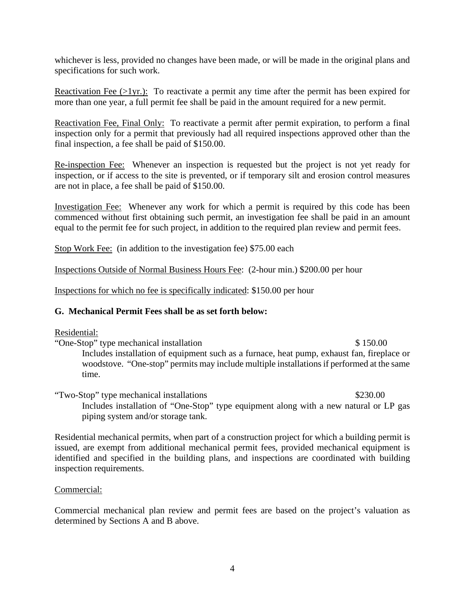whichever is less, provided no changes have been made, or will be made in the original plans and specifications for such work.

Reactivation Fee  $(>1$ yr.): To reactivate a permit any time after the permit has been expired for more than one year, a full permit fee shall be paid in the amount required for a new permit.

Reactivation Fee, Final Only: To reactivate a permit after permit expiration, to perform a final inspection only for a permit that previously had all required inspections approved other than the final inspection, a fee shall be paid of \$150.00.

Re-inspection Fee: Whenever an inspection is requested but the project is not yet ready for inspection, or if access to the site is prevented, or if temporary silt and erosion control measures are not in place, a fee shall be paid of \$150.00.

Investigation Fee: Whenever any work for which a permit is required by this code has been commenced without first obtaining such permit, an investigation fee shall be paid in an amount equal to the permit fee for such project, in addition to the required plan review and permit fees.

Stop Work Fee: (in addition to the investigation fee) \$75.00 each

Inspections Outside of Normal Business Hours Fee: (2-hour min.) \$200.00 per hour

Inspections for which no fee is specifically indicated: \$150.00 per hour

### **G. Mechanical Permit Fees shall be as set forth below:**

#### Residential:

"One-Stop" type mechanical installation \$ 150.00 Includes installation of equipment such as a furnace, heat pump, exhaust fan, fireplace or woodstove. "One-stop" permits may include multiple installations if performed at the same time.

"Two-Stop" type mechanical installations \$230.00 Includes installation of "One-Stop" type equipment along with a new natural or LP gas piping system and/or storage tank.

Residential mechanical permits, when part of a construction project for which a building permit is issued, are exempt from additional mechanical permit fees, provided mechanical equipment is identified and specified in the building plans, and inspections are coordinated with building inspection requirements.

#### Commercial:

Commercial mechanical plan review and permit fees are based on the project's valuation as determined by Sections A and B above.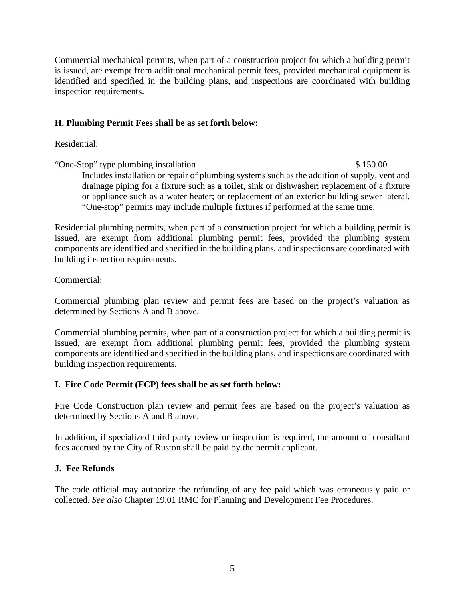Commercial mechanical permits, when part of a construction project for which a building permit is issued, are exempt from additional mechanical permit fees, provided mechanical equipment is identified and specified in the building plans, and inspections are coordinated with building inspection requirements.

## **H. Plumbing Permit Fees shall be as set forth below:**

#### Residential:

"One-Stop" type plumbing installation \$ 150.00 Includes installation or repair of plumbing systems such as the addition of supply, vent and drainage piping for a fixture such as a toilet, sink or dishwasher; replacement of a fixture or appliance such as a water heater; or replacement of an exterior building sewer lateral. "One-stop" permits may include multiple fixtures if performed at the same time.

Residential plumbing permits, when part of a construction project for which a building permit is issued, are exempt from additional plumbing permit fees, provided the plumbing system components are identified and specified in the building plans, and inspections are coordinated with building inspection requirements.

#### Commercial:

Commercial plumbing plan review and permit fees are based on the project's valuation as determined by Sections A and B above.

Commercial plumbing permits, when part of a construction project for which a building permit is issued, are exempt from additional plumbing permit fees, provided the plumbing system components are identified and specified in the building plans, and inspections are coordinated with building inspection requirements.

### **I. Fire Code Permit (FCP) fees shall be as set forth below:**

Fire Code Construction plan review and permit fees are based on the project's valuation as determined by Sections A and B above.

In addition, if specialized third party review or inspection is required, the amount of consultant fees accrued by the City of Ruston shall be paid by the permit applicant.

### **J. Fee Refunds**

The code official may authorize the refunding of any fee paid which was erroneously paid or collected. *See also* Chapter 19.01 RMC for Planning and Development Fee Procedures.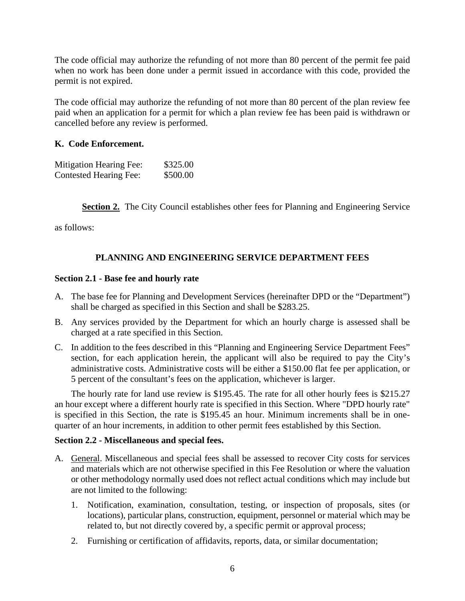The code official may authorize the refunding of not more than 80 percent of the permit fee paid when no work has been done under a permit issued in accordance with this code, provided the permit is not expired.

The code official may authorize the refunding of not more than 80 percent of the plan review fee paid when an application for a permit for which a plan review fee has been paid is withdrawn or cancelled before any review is performed.

### **K. Code Enforcement.**

| <b>Mitigation Hearing Fee:</b> | \$325.00 |
|--------------------------------|----------|
| <b>Contested Hearing Fee:</b>  | \$500.00 |

**Section 2.** The City Council establishes other fees for Planning and Engineering Service

as follows:

# **PLANNING AND ENGINEERING SERVICE DEPARTMENT FEES**

#### **Section 2.1 - Base fee and hourly rate**

- A. The base fee for Planning and Development Services (hereinafter DPD or the "Department") shall be charged as specified in this Section and shall be \$283.25.
- B. Any services provided by the Department for which an hourly charge is assessed shall be charged at a rate specified in this Section.
- C. In addition to the fees described in this "Planning and Engineering Service Department Fees" section, for each application herein, the applicant will also be required to pay the City's administrative costs. Administrative costs will be either a \$150.00 flat fee per application, or 5 percent of the consultant's fees on the application, whichever is larger.

The hourly rate for land use review is \$195.45. The rate for all other hourly fees is \$215.27 an hour except where a different hourly rate is specified in this Section. Where "DPD hourly rate" is specified in this Section, the rate is \$195.45 an hour. Minimum increments shall be in onequarter of an hour increments, in addition to other permit fees established by this Section.

### **Section 2.2 - Miscellaneous and special fees.**

- A. General. Miscellaneous and special fees shall be assessed to recover City costs for services and materials which are not otherwise specified in this Fee Resolution or where the valuation or other methodology normally used does not reflect actual conditions which may include but are not limited to the following:
	- 1. Notification, examination, consultation, testing, or inspection of proposals, sites (or locations), particular plans, construction, equipment, personnel or material which may be related to, but not directly covered by, a specific permit or approval process;
	- 2. Furnishing or certification of affidavits, reports, data, or similar documentation;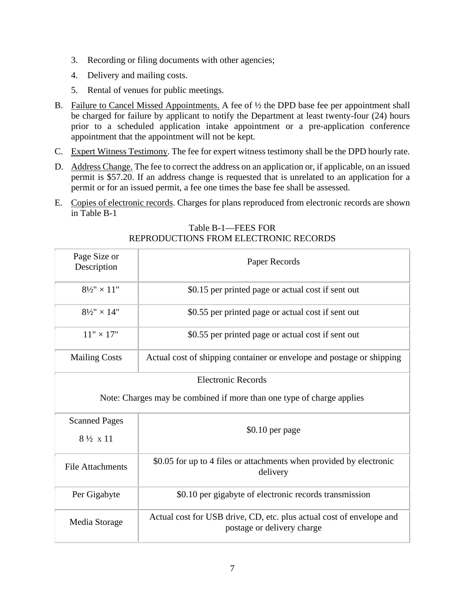- 3. Recording or filing documents with other agencies;
- 4. Delivery and mailing costs.
- 5. Rental of venues for public meetings.
- B. Failure to Cancel Missed Appointments. A fee of ½ the DPD base fee per appointment shall be charged for failure by applicant to notify the Department at least twenty-four (24) hours prior to a scheduled application intake appointment or a pre-application conference appointment that the appointment will not be kept.
- C. Expert Witness Testimony. The fee for expert witness testimony shall be the DPD hourly rate.
- D. Address Change. The fee to correct the address on an application or, if applicable, on an issued permit is \$57.20. If an address change is requested that is unrelated to an application for a permit or for an issued permit, a fee one times the base fee shall be assessed.
- E. Copies of electronic records. Charges for plans reproduced from electronic records are shown in Table B-1

| Page Size or<br>Description                                           | Paper Records                                                                                      |  |  |
|-----------------------------------------------------------------------|----------------------------------------------------------------------------------------------------|--|--|
| $8\frac{1}{2}$ " × 11"                                                | \$0.15 per printed page or actual cost if sent out                                                 |  |  |
| $8\frac{1}{2}$ " × 14"                                                | \$0.55 per printed page or actual cost if sent out                                                 |  |  |
| $11" \times 17"$                                                      | \$0.55 per printed page or actual cost if sent out                                                 |  |  |
| <b>Mailing Costs</b>                                                  | Actual cost of shipping container or envelope and postage or shipping                              |  |  |
| <b>Electronic Records</b>                                             |                                                                                                    |  |  |
| Note: Charges may be combined if more than one type of charge applies |                                                                                                    |  |  |
| <b>Scanned Pages</b>                                                  | $$0.10$ per page                                                                                   |  |  |
| $8\frac{1}{2} \times 11$                                              |                                                                                                    |  |  |
| <b>File Attachments</b>                                               | \$0.05 for up to 4 files or attachments when provided by electronic<br>delivery                    |  |  |
| Per Gigabyte                                                          | \$0.10 per gigabyte of electronic records transmission                                             |  |  |
| Media Storage                                                         | Actual cost for USB drive, CD, etc. plus actual cost of envelope and<br>postage or delivery charge |  |  |

Table B-1—FEES FOR REPRODUCTIONS FROM ELECTRONIC RECORDS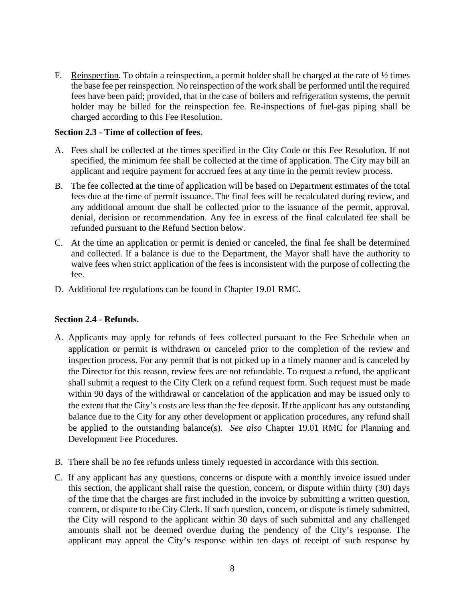F. Reinspection. To obtain a reinspection, a permit holder shall be charged at the rate of  $\frac{1}{2}$  times the base fee per reinspection. No reinspection of the work shall be performed until the required fees have been paid; provided, that in the case of boilers and refrigeration systems, the permit holder may be billed for the reinspection fee. Re-inspections of fuel-gas piping shall be charged according to this Fee Resolution.

#### **Section 2.3 - Time of collection of fees.**

- A. Fees shall be collected at the times specified in the City Code or this Fee Resolution. If not specified, the minimum fee shall be collected at the time of application. The City may bill an applicant and require payment for accrued fees at any time in the permit review process.
- B. The fee collected at the time of application will be based on Department estimates of the total fees due at the time of permit issuance. The final fees will be recalculated during review, and any additional amount due shall be collected prior to the issuance of the permit, approval, denial, decision or recommendation. Any fee in excess of the final calculated fee shall be refunded pursuant to the Refund Section below.
- C. At the time an application or permit is denied or canceled, the final fee shall be determined and collected. If a balance is due to the Department, the Mayor shall have the authority to waive fees when strict application of the fees is inconsistent with the purpose of collecting the fee.
- D. Additional fee regulations can be found in Chapter 19.01 RMC.

#### **Section 2.4 - Refunds.**

- A. Applicants may apply for refunds of fees collected pursuant to the Fee Schedule when an application or permit is withdrawn or canceled prior to the completion of the review and inspection process. For any permit that is not picked up in a timely manner and is canceled by the Director for this reason, review fees are not refundable. To request a refund, the applicant shall submit a request to the City Clerk on a refund request form. Such request must be made within 90 days of the withdrawal or cancelation of the application and may be issued only to the extent that the City's costs are less than the fee deposit. If the applicant has any outstanding balance due to the City for any other development or application procedures, any refund shall be applied to the outstanding balance(s). *See also* Chapter 19.01 RMC for Planning and Development Fee Procedures.
- B. There shall be no fee refunds unless timely requested in accordance with this section.
- C. If any applicant has any questions, concerns or dispute with a monthly invoice issued under this section, the applicant shall raise the question, concern, or dispute within thirty (30) days of the time that the charges are first included in the invoice by submitting a written question, concern, or dispute to the City Clerk. If such question, concern, or dispute is timely submitted, the City will respond to the applicant within 30 days of such submittal and any challenged amounts shall not be deemed overdue during the pendency of the City's response. The applicant may appeal the City's response within ten days of receipt of such response by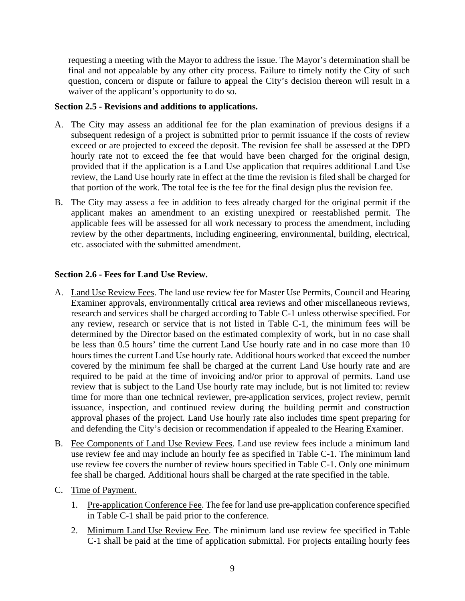requesting a meeting with the Mayor to address the issue. The Mayor's determination shall be final and not appealable by any other city process. Failure to timely notify the City of such question, concern or dispute or failure to appeal the City's decision thereon will result in a waiver of the applicant's opportunity to do so.

#### **Section 2.5 - Revisions and additions to applications.**

- A. The City may assess an additional fee for the plan examination of previous designs if a subsequent redesign of a project is submitted prior to permit issuance if the costs of review exceed or are projected to exceed the deposit. The revision fee shall be assessed at the DPD hourly rate not to exceed the fee that would have been charged for the original design, provided that if the application is a Land Use application that requires additional Land Use review, the Land Use hourly rate in effect at the time the revision is filed shall be charged for that portion of the work. The total fee is the fee for the final design plus the revision fee.
- B. The City may assess a fee in addition to fees already charged for the original permit if the applicant makes an amendment to an existing unexpired or reestablished permit. The applicable fees will be assessed for all work necessary to process the amendment, including review by the other departments, including engineering, environmental, building, electrical, etc. associated with the submitted amendment.

#### **Section 2.6 - Fees for Land Use Review.**

- A. Land Use Review Fees. The land use review fee for Master Use Permits, Council and Hearing Examiner approvals, environmentally critical area reviews and other miscellaneous reviews, research and services shall be charged according to Table C-1 unless otherwise specified. For any review, research or service that is not listed in Table C-1, the minimum fees will be determined by the Director based on the estimated complexity of work, but in no case shall be less than 0.5 hours' time the current Land Use hourly rate and in no case more than 10 hours times the current Land Use hourly rate. Additional hours worked that exceed the number covered by the minimum fee shall be charged at the current Land Use hourly rate and are required to be paid at the time of invoicing and/or prior to approval of permits. Land use review that is subject to the Land Use hourly rate may include, but is not limited to: review time for more than one technical reviewer, pre-application services, project review, permit issuance, inspection, and continued review during the building permit and construction approval phases of the project. Land Use hourly rate also includes time spent preparing for and defending the City's decision or recommendation if appealed to the Hearing Examiner.
- B. Fee Components of Land Use Review Fees. Land use review fees include a minimum land use review fee and may include an hourly fee as specified in Table C-1. The minimum land use review fee covers the number of review hours specified in Table C-1. Only one minimum fee shall be charged. Additional hours shall be charged at the rate specified in the table.
- C. Time of Payment.
	- 1. Pre-application Conference Fee. The fee for land use pre-application conference specified in Table C-1 shall be paid prior to the conference.
	- 2. Minimum Land Use Review Fee. The minimum land use review fee specified in Table C-1 shall be paid at the time of application submittal. For projects entailing hourly fees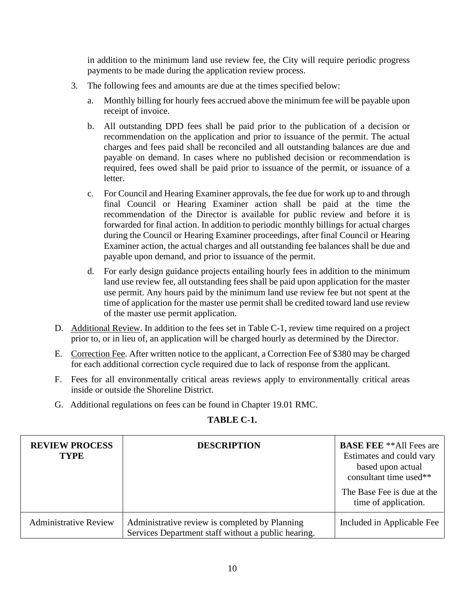in addition to the minimum land use review fee, the City will require periodic progress payments to be made during the application review process.

- 3. The following fees and amounts are due at the times specified below:
	- a. Monthly billing for hourly fees accrued above the minimum fee will be payable upon receipt of invoice.
	- b. All outstanding DPD fees shall be paid prior to the publication of a decision or recommendation on the application and prior to issuance of the permit. The actual charges and fees paid shall be reconciled and all outstanding balances are due and payable on demand. In cases where no published decision or recommendation is required, fees owed shall be paid prior to issuance of the permit, or issuance of a letter.
	- c. For Council and Hearing Examiner approvals, the fee due for work up to and through final Council or Hearing Examiner action shall be paid at the time the recommendation of the Director is available for public review and before it is forwarded for final action. In addition to periodic monthly billings for actual charges during the Council or Hearing Examiner proceedings, after final Council or Hearing Examiner action, the actual charges and all outstanding fee balances shall be due and payable upon demand, and prior to issuance of the permit.
	- d. For early design guidance projects entailing hourly fees in addition to the minimum land use review fee, all outstanding fees shall be paid upon application for the master use permit. Any hours paid by the minimum land use review fee but not spent at the time of application for the master use permit shall be credited toward land use review of the master use permit application.
- D. Additional Review. In addition to the fees set in Table C-1, review time required on a project prior to, or in lieu of, an application will be charged hourly as determined by the Director.
- E. Correction Fee. After written notice to the applicant, a Correction Fee of \$380 may be charged for each additional correction cycle required due to lack of response from the applicant.
- F. Fees for all environmentally critical areas reviews apply to environmentally critical areas inside or outside the Shoreline District.
- G. Additional regulations on fees can be found in Chapter 19.01 RMC.

| <b>REVIEW PROCESS</b><br><b>TYPE</b> | <b>DESCRIPTION</b>                                                                                    | <b>BASE FEE</b> **All Fees are<br>Estimates and could vary<br>based upon actual<br>consultant time used** |
|--------------------------------------|-------------------------------------------------------------------------------------------------------|-----------------------------------------------------------------------------------------------------------|
|                                      |                                                                                                       | The Base Fee is due at the<br>time of application.                                                        |
| <b>Administrative Review</b>         | Administrative review is completed by Planning<br>Services Department staff without a public hearing. | Included in Applicable Fee                                                                                |

# **TABLE C-1.**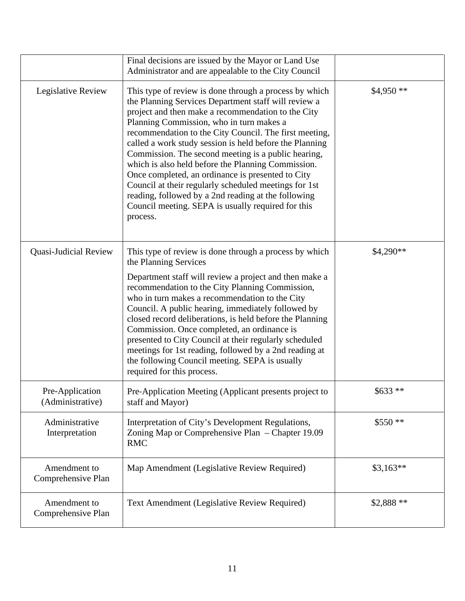|                                     | Final decisions are issued by the Mayor or Land Use<br>Administrator and are appealable to the City Council                                                                                                                                                                                                                                                                                                                                                                                                                                                                                                                                                                               |            |
|-------------------------------------|-------------------------------------------------------------------------------------------------------------------------------------------------------------------------------------------------------------------------------------------------------------------------------------------------------------------------------------------------------------------------------------------------------------------------------------------------------------------------------------------------------------------------------------------------------------------------------------------------------------------------------------------------------------------------------------------|------------|
| Legislative Review                  | This type of review is done through a process by which<br>the Planning Services Department staff will review a<br>project and then make a recommendation to the City<br>Planning Commission, who in turn makes a<br>recommendation to the City Council. The first meeting,<br>called a work study session is held before the Planning<br>Commission. The second meeting is a public hearing,<br>which is also held before the Planning Commission.<br>Once completed, an ordinance is presented to City<br>Council at their regularly scheduled meetings for 1st<br>reading, followed by a 2nd reading at the following<br>Council meeting. SEPA is usually required for this<br>process. | $$4,950**$ |
| Quasi-Judicial Review               | This type of review is done through a process by which<br>the Planning Services<br>Department staff will review a project and then make a<br>recommendation to the City Planning Commission,<br>who in turn makes a recommendation to the City<br>Council. A public hearing, immediately followed by<br>closed record deliberations, is held before the Planning<br>Commission. Once completed, an ordinance is<br>presented to City Council at their regularly scheduled<br>meetings for 1st reading, followed by a 2nd reading at<br>the following Council meeting. SEPA is usually<br>required for this process.                                                                       | \$4,290**  |
| Pre-Application<br>(Administrative) | Pre-Application Meeting (Applicant presents project to<br>staff and Mayor)                                                                                                                                                                                                                                                                                                                                                                                                                                                                                                                                                                                                                | $$633 **$  |
| Administrative<br>Interpretation    | Interpretation of City's Development Regulations,<br>Zoning Map or Comprehensive Plan – Chapter 19.09<br><b>RMC</b>                                                                                                                                                                                                                                                                                                                                                                                                                                                                                                                                                                       | $$550**$   |
| Amendment to<br>Comprehensive Plan  | Map Amendment (Legislative Review Required)                                                                                                                                                                                                                                                                                                                                                                                                                                                                                                                                                                                                                                               | $$3,163**$ |
| Amendment to<br>Comprehensive Plan  | Text Amendment (Legislative Review Required)                                                                                                                                                                                                                                                                                                                                                                                                                                                                                                                                                                                                                                              | \$2,888 ** |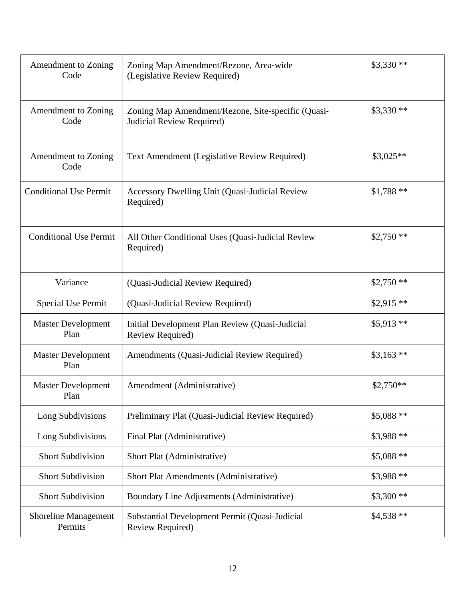| Amendment to Zoning<br>Code            | Zoning Map Amendment/Rezone, Area-wide<br>(Legislative Review Required)         | $$3,330**$ |
|----------------------------------------|---------------------------------------------------------------------------------|------------|
| Amendment to Zoning<br>Code            | Zoning Map Amendment/Rezone, Site-specific (Quasi-<br>Judicial Review Required) | $$3,330**$ |
| Amendment to Zoning<br>Code            | Text Amendment (Legislative Review Required)                                    | \$3,025**  |
| <b>Conditional Use Permit</b>          | Accessory Dwelling Unit (Quasi-Judicial Review<br>Required)                     | $$1,788**$ |
| <b>Conditional Use Permit</b>          | All Other Conditional Uses (Quasi-Judicial Review<br>Required)                  | $$2,750**$ |
| Variance                               | (Quasi-Judicial Review Required)                                                | $$2,750**$ |
| <b>Special Use Permit</b>              | (Quasi-Judicial Review Required)                                                | $$2,915**$ |
| <b>Master Development</b><br>Plan      | Initial Development Plan Review (Quasi-Judicial<br>Review Required)             | $$5,913**$ |
| <b>Master Development</b><br>Plan      | Amendments (Quasi-Judicial Review Required)                                     | $$3,163**$ |
| <b>Master Development</b><br>Plan      | Amendment (Administrative)                                                      | $$2,750**$ |
| Long Subdivisions                      | Preliminary Plat (Quasi-Judicial Review Required)                               | $$5,088**$ |
| Long Subdivisions                      | Final Plat (Administrative)                                                     | \$3,988 ** |
| <b>Short Subdivision</b>               | Short Plat (Administrative)                                                     | $$5,088**$ |
| <b>Short Subdivision</b>               | Short Plat Amendments (Administrative)                                          | \$3,988 ** |
| <b>Short Subdivision</b>               | Boundary Line Adjustments (Administrative)                                      | $$3,300**$ |
| <b>Shoreline Management</b><br>Permits | Substantial Development Permit (Quasi-Judicial<br><b>Review Required)</b>       | $$4,538**$ |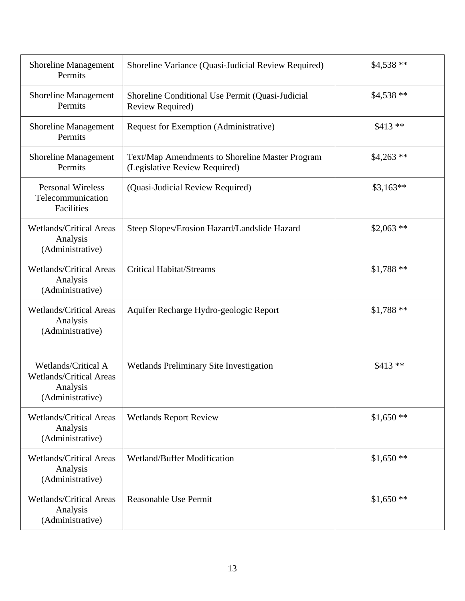| <b>Shoreline Management</b><br>Permits                                                | Shoreline Variance (Quasi-Judicial Review Required)                              | $$4,538**$  |
|---------------------------------------------------------------------------------------|----------------------------------------------------------------------------------|-------------|
| <b>Shoreline Management</b><br>Permits                                                | Shoreline Conditional Use Permit (Quasi-Judicial<br>Review Required)             | $$4,538**$  |
| <b>Shoreline Management</b><br>Permits                                                | Request for Exemption (Administrative)                                           | $$413 **$   |
| <b>Shoreline Management</b><br>Permits                                                | Text/Map Amendments to Shoreline Master Program<br>(Legislative Review Required) | $$4,263$ ** |
| <b>Personal Wireless</b><br>Telecommunication<br>Facilities                           | (Quasi-Judicial Review Required)                                                 | $$3,163**$  |
| <b>Wetlands/Critical Areas</b><br>Analysis<br>(Administrative)                        | Steep Slopes/Erosion Hazard/Landslide Hazard                                     | $$2,063$ ** |
| <b>Wetlands/Critical Areas</b><br>Analysis<br>(Administrative)                        | <b>Critical Habitat/Streams</b>                                                  | $$1,788**$  |
| <b>Wetlands/Critical Areas</b><br>Analysis<br>(Administrative)                        | Aquifer Recharge Hydro-geologic Report                                           | $$1,788**$  |
| Wetlands/Critical A<br><b>Wetlands/Critical Areas</b><br>Analysis<br>(Administrative) | Wetlands Preliminary Site Investigation                                          | $$413 **$   |
| <b>Wetlands/Critical Areas</b><br>Analysis<br>(Administrative)                        | <b>Wetlands Report Review</b>                                                    | $$1,650**$  |
| <b>Wetlands/Critical Areas</b><br>Analysis<br>(Administrative)                        | Wetland/Buffer Modification                                                      | $$1,650**$  |
| <b>Wetlands/Critical Areas</b><br>Analysis<br>(Administrative)                        | <b>Reasonable Use Permit</b>                                                     | $$1,650**$  |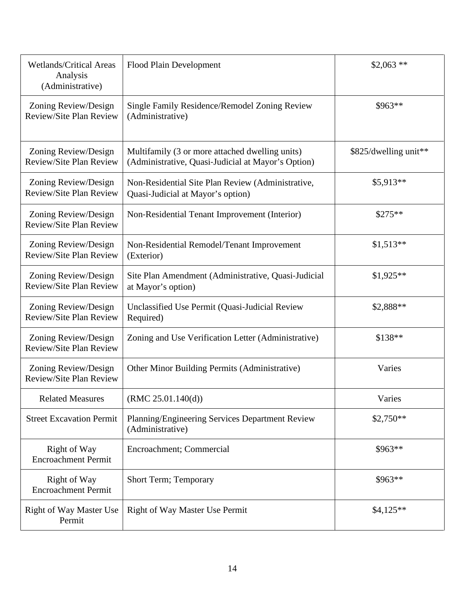| <b>Wetlands/Critical Areas</b><br>Analysis<br>(Administrative) | Flood Plain Development                                                                               | $$2,063$ **           |
|----------------------------------------------------------------|-------------------------------------------------------------------------------------------------------|-----------------------|
| Zoning Review/Design<br>Review/Site Plan Review                | Single Family Residence/Remodel Zoning Review<br>(Administrative)                                     | \$963**               |
| Zoning Review/Design<br>Review/Site Plan Review                | Multifamily (3 or more attached dwelling units)<br>(Administrative, Quasi-Judicial at Mayor's Option) | \$825/dwelling unit** |
| Zoning Review/Design<br>Review/Site Plan Review                | Non-Residential Site Plan Review (Administrative,<br>Quasi-Judicial at Mayor's option)                | $$5,913**$            |
| Zoning Review/Design<br>Review/Site Plan Review                | Non-Residential Tenant Improvement (Interior)                                                         | $$275**$              |
| Zoning Review/Design<br>Review/Site Plan Review                | Non-Residential Remodel/Tenant Improvement<br>(Exterior)                                              | $$1,513**$            |
| Zoning Review/Design<br>Review/Site Plan Review                | Site Plan Amendment (Administrative, Quasi-Judicial<br>at Mayor's option)                             | $$1,925**$            |
| Zoning Review/Design<br>Review/Site Plan Review                | Unclassified Use Permit (Quasi-Judicial Review<br>Required)                                           | \$2,888**             |
| Zoning Review/Design<br>Review/Site Plan Review                | Zoning and Use Verification Letter (Administrative)                                                   | \$138**               |
| Zoning Review/Design<br>Review/Site Plan Review                | Other Minor Building Permits (Administrative)                                                         | Varies                |
| <b>Related Measures</b>                                        | (RMC 25.01.140(d))                                                                                    | Varies                |
| <b>Street Excavation Permit</b>                                | Planning/Engineering Services Department Review<br>(Administrative)                                   | $$2,750**$            |
| Right of Way<br><b>Encroachment Permit</b>                     | Encroachment; Commercial                                                                              | \$963**               |
| <b>Right of Way</b><br><b>Encroachment Permit</b>              | Short Term; Temporary                                                                                 | \$963**               |
| <b>Right of Way Master Use</b><br>Permit                       | <b>Right of Way Master Use Permit</b>                                                                 | $$4,125**$            |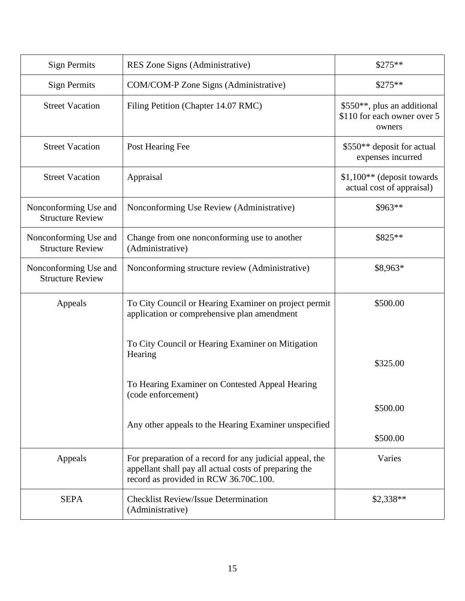| <b>Sign Permits</b>                              | RES Zone Signs (Administrative)                                                                                                                            | $$275**$                                                             |
|--------------------------------------------------|------------------------------------------------------------------------------------------------------------------------------------------------------------|----------------------------------------------------------------------|
| <b>Sign Permits</b>                              | COM/COM-P Zone Signs (Administrative)                                                                                                                      | $$275**$                                                             |
| <b>Street Vacation</b>                           | Filing Petition (Chapter 14.07 RMC)                                                                                                                        | \$550**, plus an additional<br>\$110 for each owner over 5<br>owners |
| <b>Street Vacation</b>                           | Post Hearing Fee                                                                                                                                           | \$550** deposit for actual<br>expenses incurred                      |
| <b>Street Vacation</b>                           | Appraisal                                                                                                                                                  | $$1,100**$ (deposit towards<br>actual cost of appraisal)             |
| Nonconforming Use and<br><b>Structure Review</b> | Nonconforming Use Review (Administrative)                                                                                                                  | \$963**                                                              |
| Nonconforming Use and<br><b>Structure Review</b> | Change from one nonconforming use to another<br>(Administrative)                                                                                           | \$825**                                                              |
| Nonconforming Use and<br><b>Structure Review</b> | Nonconforming structure review (Administrative)                                                                                                            | \$8,963*                                                             |
| Appeals                                          | To City Council or Hearing Examiner on project permit<br>application or comprehensive plan amendment                                                       | \$500.00                                                             |
|                                                  | To City Council or Hearing Examiner on Mitigation<br>Hearing                                                                                               | \$325.00                                                             |
|                                                  | To Hearing Examiner on Contested Appeal Hearing<br>(code enforcement)                                                                                      |                                                                      |
|                                                  | Any other appeals to the Hearing Examiner unspecified                                                                                                      | \$500.00                                                             |
|                                                  |                                                                                                                                                            | \$500.00                                                             |
| Appeals                                          | For preparation of a record for any judicial appeal, the<br>appellant shall pay all actual costs of preparing the<br>record as provided in RCW 36.70C.100. | Varies                                                               |
| <b>SEPA</b>                                      | <b>Checklist Review/Issue Determination</b><br>(Administrative)                                                                                            | $$2,338**$                                                           |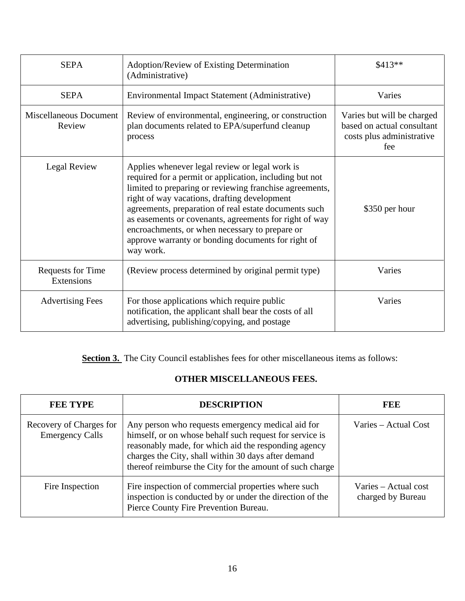| <b>SEPA</b>                            | Adoption/Review of Existing Determination<br>(Administrative)                                                                                                                                                                                                                                                                                                                                                                                                | \$413**                                                                                      |
|----------------------------------------|--------------------------------------------------------------------------------------------------------------------------------------------------------------------------------------------------------------------------------------------------------------------------------------------------------------------------------------------------------------------------------------------------------------------------------------------------------------|----------------------------------------------------------------------------------------------|
| <b>SEPA</b>                            | Environmental Impact Statement (Administrative)                                                                                                                                                                                                                                                                                                                                                                                                              | Varies                                                                                       |
| Miscellaneous Document<br>Review       | Review of environmental, engineering, or construction<br>plan documents related to EPA/superfund cleanup<br>process                                                                                                                                                                                                                                                                                                                                          | Varies but will be charged<br>based on actual consultant<br>costs plus administrative<br>fee |
| Legal Review                           | Applies whenever legal review or legal work is<br>required for a permit or application, including but not<br>limited to preparing or reviewing franchise agreements,<br>right of way vacations, drafting development<br>agreements, preparation of real estate documents such<br>as easements or covenants, agreements for right of way<br>encroachments, or when necessary to prepare or<br>approve warranty or bonding documents for right of<br>way work. | \$350 per hour                                                                               |
| <b>Requests for Time</b><br>Extensions | (Review process determined by original permit type)                                                                                                                                                                                                                                                                                                                                                                                                          | Varies                                                                                       |
| <b>Advertising Fees</b>                | For those applications which require public<br>notification, the applicant shall bear the costs of all<br>advertising, publishing/copying, and postage                                                                                                                                                                                                                                                                                                       | Varies                                                                                       |

Section 3. The City Council establishes fees for other miscellaneous items as follows:

# **OTHER MISCELLANEOUS FEES.**

| <b>FEE TYPE</b>                                   | <b>DESCRIPTION</b>                                                                                                                                                                                                                                                                      | FEE                                       |
|---------------------------------------------------|-----------------------------------------------------------------------------------------------------------------------------------------------------------------------------------------------------------------------------------------------------------------------------------------|-------------------------------------------|
| Recovery of Charges for<br><b>Emergency Calls</b> | Any person who requests emergency medical aid for<br>himself, or on whose behalf such request for service is<br>reasonably made, for which aid the responding agency<br>charges the City, shall within 30 days after demand<br>thereof reimburse the City for the amount of such charge | Varies – Actual Cost                      |
| Fire Inspection                                   | Fire inspection of commercial properties where such<br>inspection is conducted by or under the direction of the<br>Pierce County Fire Prevention Bureau.                                                                                                                                | Varies – Actual cost<br>charged by Bureau |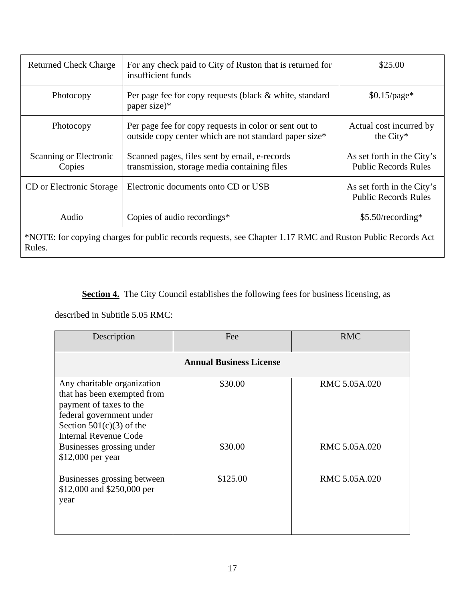| <b>Returned Check Charge</b>                                                                                         | For any check paid to City of Ruston that is returned for<br>insufficient funds                                  | \$25.00                                                   |
|----------------------------------------------------------------------------------------------------------------------|------------------------------------------------------------------------------------------------------------------|-----------------------------------------------------------|
| Photocopy                                                                                                            | Per page fee for copy requests (black & white, standard<br>paper size)*                                          | $$0.15$ /page*                                            |
| Photocopy                                                                                                            | Per page fee for copy requests in color or sent out to<br>outside copy center which are not standard paper size* | Actual cost incurred by<br>the City*                      |
| Scanning or Electronic<br>Copies                                                                                     | Scanned pages, files sent by email, e-records<br>transmission, storage media containing files                    | As set forth in the City's<br><b>Public Records Rules</b> |
| CD or Electronic Storage                                                                                             | Electronic documents onto CD or USB                                                                              | As set forth in the City's<br><b>Public Records Rules</b> |
| Audio                                                                                                                | Copies of audio recordings*                                                                                      | $$5.50$ /recording*                                       |
| *NOTE: for copying charges for public records requests, see Chapter 1.17 RMC and Ruston Public Records Act<br>Rules. |                                                                                                                  |                                                           |

**Section 4.** The City Council establishes the following fees for business licensing, as

described in Subtitle 5.05 RMC:

| Description                                                                                                                                                                     | Fee      | <b>RMC</b>    |  |
|---------------------------------------------------------------------------------------------------------------------------------------------------------------------------------|----------|---------------|--|
| <b>Annual Business License</b>                                                                                                                                                  |          |               |  |
| Any charitable organization<br>that has been exempted from<br>payment of taxes to the<br>federal government under<br>Section $501(c)(3)$ of the<br><b>Internal Revenue Code</b> | \$30.00  | RMC 5.05A.020 |  |
| Businesses grossing under<br>\$12,000 per year                                                                                                                                  | \$30.00  | RMC 5.05A.020 |  |
| Businesses grossing between<br>\$12,000 and \$250,000 per<br>year                                                                                                               | \$125.00 | RMC 5.05A.020 |  |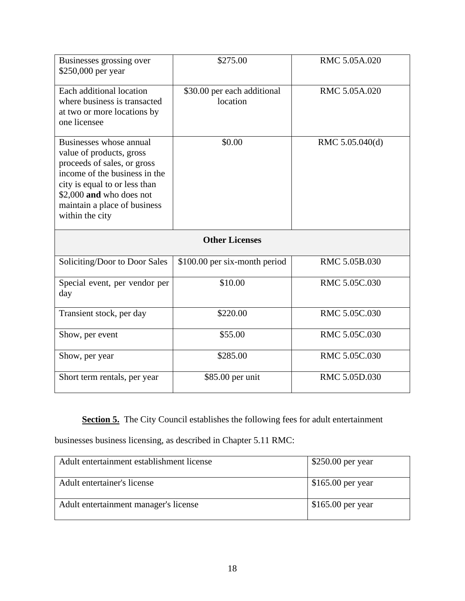| Businesses grossing over<br>\$250,000 per year                                                                                                                                                                                      | \$275.00                                | RMC 5.05A.020   |  |  |
|-------------------------------------------------------------------------------------------------------------------------------------------------------------------------------------------------------------------------------------|-----------------------------------------|-----------------|--|--|
| Each additional location<br>where business is transacted<br>at two or more locations by<br>one licensee                                                                                                                             | \$30.00 per each additional<br>location | RMC 5.05A.020   |  |  |
| Businesses whose annual<br>value of products, gross<br>proceeds of sales, or gross<br>income of the business in the<br>city is equal to or less than<br>\$2,000 and who does not<br>maintain a place of business<br>within the city | \$0.00                                  | RMC 5.05.040(d) |  |  |
| <b>Other Licenses</b>                                                                                                                                                                                                               |                                         |                 |  |  |
| Soliciting/Door to Door Sales                                                                                                                                                                                                       | \$100.00 per six-month period           | RMC 5.05B.030   |  |  |
| Special event, per vendor per<br>day                                                                                                                                                                                                | \$10.00                                 | RMC 5.05C.030   |  |  |
| Transient stock, per day                                                                                                                                                                                                            | \$220.00                                | RMC 5.05C.030   |  |  |
| Show, per event                                                                                                                                                                                                                     | \$55.00                                 | RMC 5.05C.030   |  |  |
| Show, per year                                                                                                                                                                                                                      | \$285.00                                | RMC 5.05C.030   |  |  |
| Short term rentals, per year                                                                                                                                                                                                        |                                         | RMC 5.05D.030   |  |  |

**Section 5.** The City Council establishes the following fees for adult entertainment

businesses business licensing, as described in Chapter 5.11 RMC:

| Adult entertainment establishment license | $$250.00$ per year |
|-------------------------------------------|--------------------|
| Adult entertainer's license               | $$165.00$ per year |
| Adult entertainment manager's license     | $$165.00$ per year |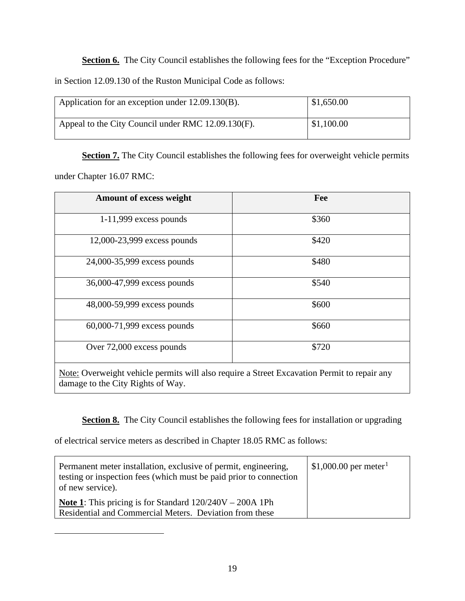**Section 6.** The City Council establishes the following fees for the "Exception Procedure" in Section 12.09.130 of the Ruston Municipal Code as follows:

| Application for an exception under 12.09.130(B).   | \$1,650.00 |
|----------------------------------------------------|------------|
| Appeal to the City Council under RMC 12.09.130(F). | \$1,100.00 |

**Section 7.** The City Council establishes the following fees for overweight vehicle permits under Chapter 16.07 RMC:

| <b>Amount of excess weight</b>                                                                 | Fee   |
|------------------------------------------------------------------------------------------------|-------|
| $1-11,999$ excess pounds                                                                       | \$360 |
| 12,000-23,999 excess pounds                                                                    | \$420 |
| 24,000-35,999 excess pounds                                                                    | \$480 |
| 36,000-47,999 excess pounds                                                                    | \$540 |
| 48,000-59,999 excess pounds                                                                    | \$600 |
| 60,000-71,999 excess pounds                                                                    | \$660 |
| Over 72,000 excess pounds                                                                      | \$720 |
| Mater Orrentalet related a nome to will also no suine a fluort Experiment Demoit to nongin any |       |

Note: Overweight vehicle permits will also require a Street Excavation Permit to repair any damage to the City Rights of Way.

**Section 8.** The City Council establishes the following fees for installation or upgrading

of electrical service meters as described in Chapter 18.05 RMC as follows:

<span id="page-19-0"></span>

| Permanent meter installation, exclusive of permit, engineering,<br>testing or inspection fees (which must be paid prior to connection<br>of new service). | \$1,000.00 per meter <sup>1</sup> |
|-----------------------------------------------------------------------------------------------------------------------------------------------------------|-----------------------------------|
| <b>Note 1:</b> This pricing is for Standard $120/240V - 200A$ 1Ph<br>Residential and Commercial Meters. Deviation from these                              |                                   |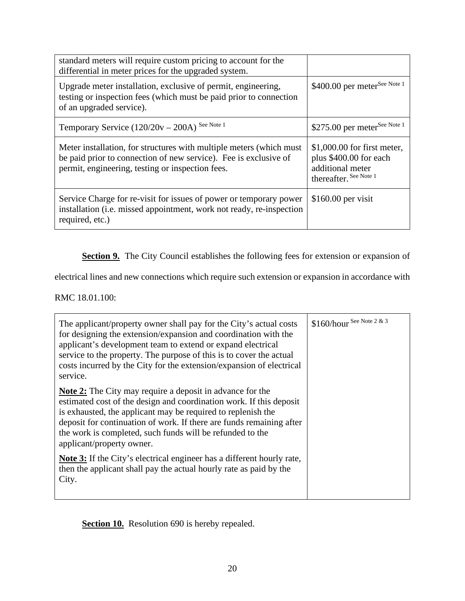| standard meters will require custom pricing to account for the<br>differential in meter prices for the upgraded system.                                                                      |                                                                                                      |
|----------------------------------------------------------------------------------------------------------------------------------------------------------------------------------------------|------------------------------------------------------------------------------------------------------|
| Upgrade meter installation, exclusive of permit, engineering,<br>testing or inspection fees (which must be paid prior to connection<br>of an upgraded service).                              | \$400.00 per meter <sup>See Note 1</sup>                                                             |
| Temporary Service (120/20v - 200A) See Note 1                                                                                                                                                | \$275.00 per meter <sup>See Note 1</sup>                                                             |
| Meter installation, for structures with multiple meters (which must)<br>be paid prior to connection of new service). Fee is exclusive of<br>permit, engineering, testing or inspection fees. | $$1,000.00$ for first meter,<br>plus \$400.00 for each<br>additional meter<br>thereafter. See Note 1 |
| Service Charge for re-visit for issues of power or temporary power<br>installation (i.e. missed appointment, work not ready, re-inspection<br>required, etc.)                                | $$160.00$ per visit                                                                                  |

**Section 9.** The City Council establishes the following fees for extension or expansion of

electrical lines and new connections which require such extension or expansion in accordance with

RMC 18.01.100:

| The applicant/property owner shall pay for the City's actual costs<br>for designing the extension/expansion and coordination with the<br>applicant's development team to extend or expand electrical<br>service to the property. The purpose of this is to cover the actual<br>costs incurred by the City for the extension/expansion of electrical<br>service.           | \$160/hour See Note 2 & 3 |
|---------------------------------------------------------------------------------------------------------------------------------------------------------------------------------------------------------------------------------------------------------------------------------------------------------------------------------------------------------------------------|---------------------------|
| <b>Note 2:</b> The City may require a deposit in advance for the<br>estimated cost of the design and coordination work. If this deposit<br>is exhausted, the applicant may be required to replenish the<br>deposit for continuation of work. If there are funds remaining after<br>the work is completed, such funds will be refunded to the<br>applicant/property owner. |                           |
| <b>Note 3:</b> If the City's electrical engineer has a different hourly rate,<br>then the applicant shall pay the actual hourly rate as paid by the<br>City.                                                                                                                                                                                                              |                           |

**Section 10.** Resolution 690 is hereby repealed.